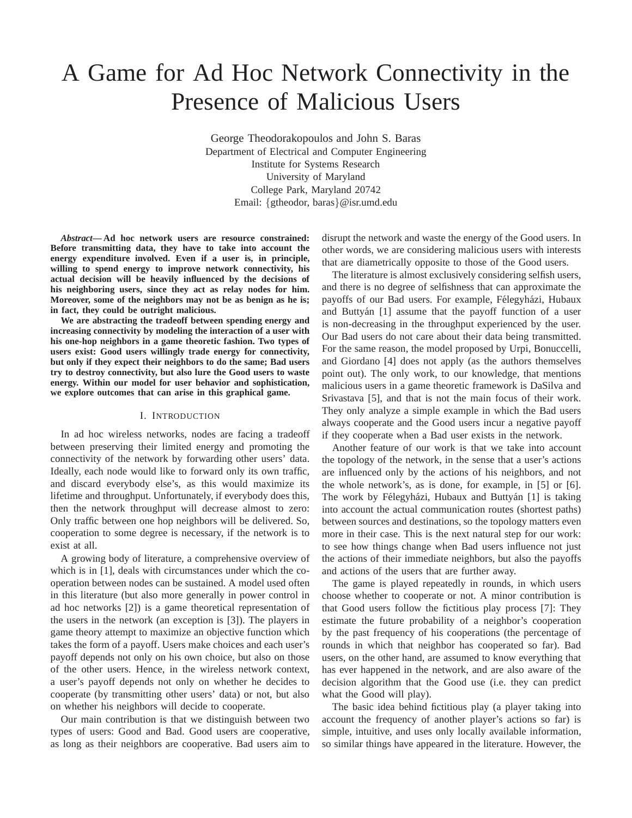# A Game for Ad Hoc Network Connectivity in the Presence of Malicious Users

George Theodorakopoulos and John S. Baras Department of Electrical and Computer Engineering Institute for Systems Research University of Maryland College Park, Maryland 20742 Email: {gtheodor, baras}@isr.umd.edu

*Abstract***— Ad hoc network users are resource constrained: Before transmitting data, they have to take into account the energy expenditure involved. Even if a user is, in principle, willing to spend energy to improve network connectivity, his actual decision will be heavily influenced by the decisions of his neighboring users, since they act as relay nodes for him. Moreover, some of the neighbors may not be as benign as he is; in fact, they could be outright malicious.**

**We are abstracting the tradeoff between spending energy and increasing connectivity by modeling the interaction of a user with his one-hop neighbors in a game theoretic fashion. Two types of users exist: Good users willingly trade energy for connectivity, but only if they expect their neighbors to do the same; Bad users try to destroy connectivity, but also lure the Good users to waste energy. Within our model for user behavior and sophistication, we explore outcomes that can arise in this graphical game.**

#### I. INTRODUCTION

In ad hoc wireless networks, nodes are facing a tradeoff between preserving their limited energy and promoting the connectivity of the network by forwarding other users' data. Ideally, each node would like to forward only its own traffic, and discard everybody else's, as this would maximize its lifetime and throughput. Unfortunately, if everybody does this, then the network throughput will decrease almost to zero: Only traffic between one hop neighbors will be delivered. So, cooperation to some degree is necessary, if the network is to exist at all.

A growing body of literature, a comprehensive overview of which is in [1], deals with circumstances under which the cooperation between nodes can be sustained. A model used often in this literature (but also more generally in power control in ad hoc networks [2]) is a game theoretical representation of the users in the network (an exception is [3]). The players in game theory attempt to maximize an objective function which takes the form of a payoff. Users make choices and each user's payoff depends not only on his own choice, but also on those of the other users. Hence, in the wireless network context, a user's payoff depends not only on whether he decides to cooperate (by transmitting other users' data) or not, but also on whether his neighbors will decide to cooperate.

Our main contribution is that we distinguish between two types of users: Good and Bad. Good users are cooperative, as long as their neighbors are cooperative. Bad users aim to disrupt the network and waste the energy of the Good users. In other words, we are considering malicious users with interests that are diametrically opposite to those of the Good users.

The literature is almost exclusively considering selfish users, and there is no degree of selfishness that can approximate the payoffs of our Bad users. For example, Félegyházi, Hubaux and Buttyán [1] assume that the payoff function of a user is non-decreasing in the throughput experienced by the user. Our Bad users do not care about their data being transmitted. For the same reason, the model proposed by Urpi, Bonuccelli, and Giordano [4] does not apply (as the authors themselves point out). The only work, to our knowledge, that mentions malicious users in a game theoretic framework is DaSilva and Srivastava [5], and that is not the main focus of their work. They only analyze a simple example in which the Bad users always cooperate and the Good users incur a negative payoff if they cooperate when a Bad user exists in the network.

Another feature of our work is that we take into account the topology of the network, in the sense that a user's actions are influenced only by the actions of his neighbors, and not the whole network's, as is done, for example, in [5] or [6]. The work by Félegyházi, Hubaux and Buttyán [1] is taking into account the actual communication routes (shortest paths) between sources and destinations, so the topology matters even more in their case. This is the next natural step for our work: to see how things change when Bad users influence not just the actions of their immediate neighbors, but also the payoffs and actions of the users that are further away.

The game is played repeatedly in rounds, in which users choose whether to cooperate or not. A minor contribution is that Good users follow the fictitious play process [7]: They estimate the future probability of a neighbor's cooperation by the past frequency of his cooperations (the percentage of rounds in which that neighbor has cooperated so far). Bad users, on the other hand, are assumed to know everything that has ever happened in the network, and are also aware of the decision algorithm that the Good use (i.e. they can predict what the Good will play).

The basic idea behind fictitious play (a player taking into account the frequency of another player's actions so far) is simple, intuitive, and uses only locally available information, so similar things have appeared in the literature. However, the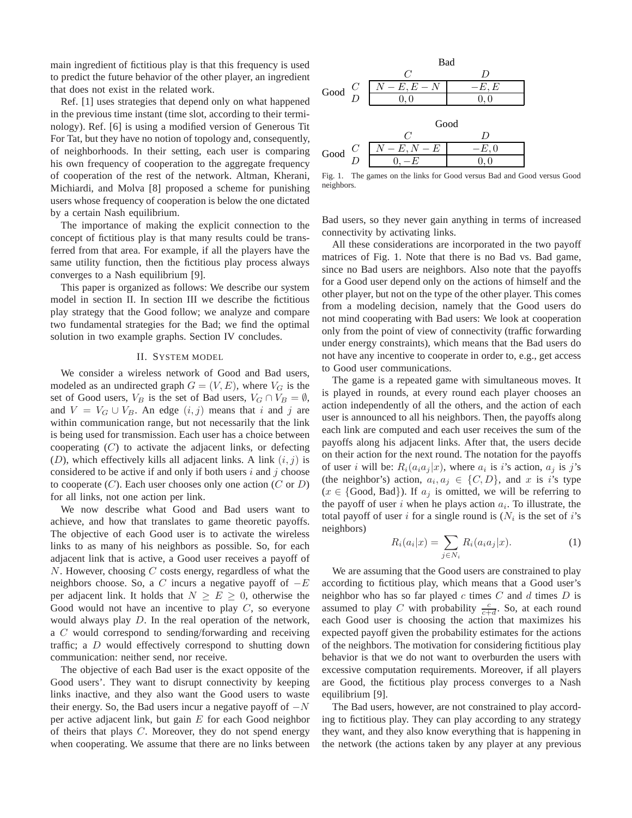main ingredient of fictitious play is that this frequency is used to predict the future behavior of the other player, an ingredient that does not exist in the related work.

Ref. [1] uses strategies that depend only on what happened in the previous time instant (time slot, according to their terminology). Ref. [6] is using a modified version of Generous Tit For Tat, but they have no notion of topology and, consequently, of neighborhoods. In their setting, each user is comparing his own frequency of cooperation to the aggregate frequency of cooperation of the rest of the network. Altman, Kherani, Michiardi, and Molva [8] proposed a scheme for punishing users whose frequency of cooperation is below the one dictated by a certain Nash equilibrium.

The importance of making the explicit connection to the concept of fictitious play is that many results could be transferred from that area. For example, if all the players have the same utility function, then the fictitious play process always converges to a Nash equilibrium [9].

This paper is organized as follows: We describe our system model in section II. In section III we describe the fictitious play strategy that the Good follow; we analyze and compare two fundamental strategies for the Bad; we find the optimal solution in two example graphs. Section IV concludes.

## II. SYSTEM MODEL

We consider a wireless network of Good and Bad users, modeled as an undirected graph  $G = (V, E)$ , where  $V_G$  is the set of Good users,  $V_B$  is the set of Bad users,  $V_G \cap V_B = \emptyset$ , and  $V = V_G \cup V_B$ . An edge  $(i, j)$  means that i and j are within communication range, but not necessarily that the link is being used for transmission. Each user has a choice between cooperating  $(C)$  to activate the adjacent links, or defecting  $(D)$ , which effectively kills all adjacent links. A link  $(i, j)$  is considered to be active if and only if both users  $i$  and  $j$  choose to cooperate  $(C)$ . Each user chooses only one action  $(C \text{ or } D)$ for all links, not one action per link.

We now describe what Good and Bad users want to achieve, and how that translates to game theoretic payoffs. The objective of each Good user is to activate the wireless links to as many of his neighbors as possible. So, for each adjacent link that is active, a Good user receives a payoff of  $N$ . However, choosing  $C$  costs energy, regardless of what the neighbors choose. So, a C incurs a negative payoff of  $-E$ per adjacent link. It holds that  $N \geq E \geq 0$ , otherwise the Good would not have an incentive to play  $C$ , so everyone would always play D. In the real operation of the network, a C would correspond to sending/forwarding and receiving traffic; a D would effectively correspond to shutting down communication: neither send, nor receive.

The objective of each Bad user is the exact opposite of the Good users'. They want to disrupt connectivity by keeping links inactive, and they also want the Good users to waste their energy. So, the Bad users incur a negative payoff of  $-N$ per active adjacent link, but gain  $E$  for each Good neighbor of theirs that plays  $C$ . Moreover, they do not spend energy when cooperating. We assume that there are no links between



Fig. 1. The games on the links for Good versus Bad and Good versus Good neighbors.

Bad users, so they never gain anything in terms of increased connectivity by activating links.

All these considerations are incorporated in the two payoff matrices of Fig. 1. Note that there is no Bad vs. Bad game, since no Bad users are neighbors. Also note that the payoffs for a Good user depend only on the actions of himself and the other player, but not on the type of the other player. This comes from a modeling decision, namely that the Good users do not mind cooperating with Bad users: We look at cooperation only from the point of view of connectivity (traffic forwarding under energy constraints), which means that the Bad users do not have any incentive to cooperate in order to, e.g., get access to Good user communications.

The game is a repeated game with simultaneous moves. It is played in rounds, at every round each player chooses an action independently of all the others, and the action of each user is announced to all his neighbors. Then, the payoffs along each link are computed and each user receives the sum of the payoffs along his adjacent links. After that, the users decide on their action for the next round. The notation for the payoffs of user *i* will be:  $R_i(a_i a_j | x)$ , where  $a_i$  is *i*'s action,  $a_j$  is *j*'s (the neighbor's) action,  $a_i, a_j \in \{C, D\}$ , and x is i's type  $(x \in \{Good, Bad\})$ . If  $a_j$  is omitted, we will be referring to the payoff of user i when he plays action  $a_i$ . To illustrate, the total payoff of user i for a single round is  $(N<sub>i</sub>$  is the set of i's neighbors)

$$
R_i(a_i|x) = \sum_{j \in N_i} R_i(a_i a_j|x). \tag{1}
$$

We are assuming that the Good users are constrained to play according to fictitious play, which means that a Good user's neighbor who has so far played  $c$  times  $C$  and  $d$  times  $D$  is assumed to play C with probability  $\frac{c}{c+d}$ . So, at each round each Good user is choosing the action that maximizes his expected payoff given the probability estimates for the actions of the neighbors. The motivation for considering fictitious play behavior is that we do not want to overburden the users with excessive computation requirements. Moreover, if all players are Good, the fictitious play process converges to a Nash equilibrium [9].

The Bad users, however, are not constrained to play according to fictitious play. They can play according to any strategy they want, and they also know everything that is happening in the network (the actions taken by any player at any previous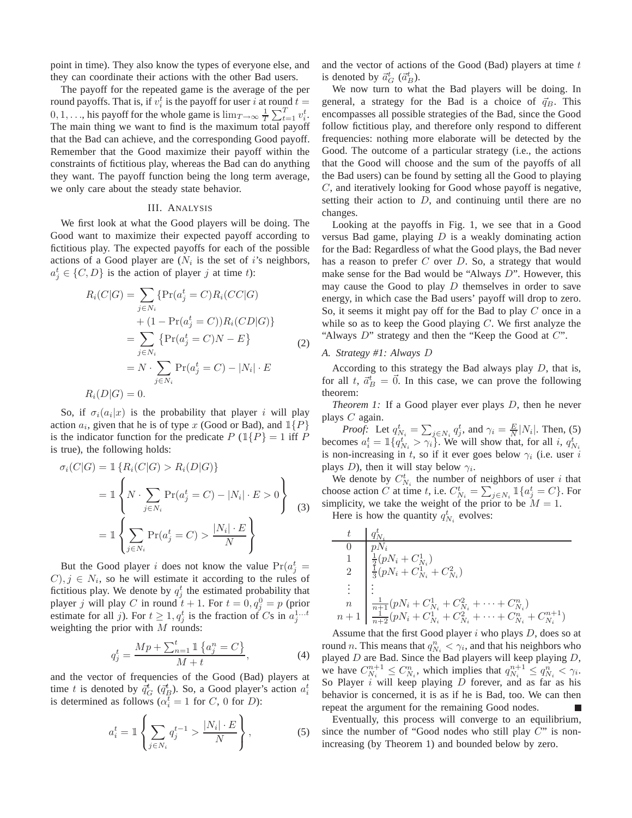point in time). They also know the types of everyone else, and they can coordinate their actions with the other Bad users.

The payoff for the repeated game is the average of the per round payoffs. That is, if  $v_i^t$  is the payoff for user i at round  $t =$  $0, 1, \ldots$ , his payoff for the whole game is  $\lim_{T \to \infty} \frac{1}{T} \sum_{t=1}^{T} v_i^t$ . The main thing we want to find is the maximum total payoff that the Bad can achieve, and the corresponding Good payoff. Remember that the Good maximize their payoff within the constraints of fictitious play, whereas the Bad can do anything they want. The payoff function being the long term average, we only care about the steady state behavior.

## III. ANALYSIS

We first look at what the Good players will be doing. The Good want to maximize their expected payoff according to fictitious play. The expected payoffs for each of the possible actions of a Good player are  $(N_i)$  is the set of i's neighbors,  $a_j^t \in \{C, D\}$  is the action of player j at time t):

$$
R_i(C|G) = \sum_{j \in N_i} \{ \Pr(a_j^t = C) R_i(CC|G) + (1 - \Pr(a_j^t = C)) R_i(CD|G) \} = \sum_{j \in N_i} \{ \Pr(a_j^t = C)N - E \} = N \cdot \sum_{j \in N_i} \Pr(a_j^t = C) - |N_i| \cdot E R_i(D|G) = 0.
$$

So, if  $\sigma_i(a_i|x)$  is the probability that player i will play action  $a_i$ , given that he is of type x (Good or Bad), and  $\mathbb{1}{P}$ is the indicator function for the predicate  $P(\mathbb{1}{P} = 1 \text{ iff } P$ is true), the following holds:

$$
\sigma_i(C|G) = \mathbb{1}\left\{ R_i(C|G) > R_i(D|G) \right\}
$$
\n
$$
= \mathbb{1}\left\{ N \cdot \sum_{j \in N_i} \Pr(a_j^t = C) - |N_i| \cdot E > 0 \right\}
$$
\n
$$
= \mathbb{1}\left\{ \sum_{j \in N_i} \Pr(a_j^t = C) > \frac{|N_i| \cdot E}{N} \right\} \tag{3}
$$

But the Good player *i* does not know the value  $Pr(a_j^t = \text{max}(a_j^t))$  $(C), j \in N_i$ , so he will estimate it according to the rules of fictitious play. We denote by  $q_j^t$  the estimated probability that player j will play C in round  $t + 1$ . For  $t = 0, q_j^0 = p$  (prior estimate for all j). For  $t \geq 1, q_j^t$  is the fraction of Cs in  $a_j^{1...t}$ weighting the prior with  $M$  rounds:

$$
q_j^t = \frac{Mp + \sum_{n=1}^t \mathbb{1}\left\{a_j^n = C\right\}}{M + t},\tag{4}
$$

and the vector of frequencies of the Good (Bad) players at time t is denoted by  $\bar{q}_G^t$  ( $\bar{q}_B^t$ ). So, a Good player's action  $a_i^t$ is determined as follows ( $\alpha_i^t = 1$  for C, 0 for D):

$$
a_i^t = \mathbb{1}\left\{\sum_{j \in N_i} q_j^{t-1} > \frac{|N_i| \cdot E}{N}\right\},\tag{5}
$$

and the vector of actions of the Good (Bad) players at time  $t$ is denoted by  $\vec{a}^t_G$  ( $\vec{a}^t_B$ ).

We now turn to what the Bad players will be doing. In general, a strategy for the Bad is a choice of  $\vec{q}_B$ . This encompasses all possible strategies of the Bad, since the Good follow fictitious play, and therefore only respond to different frequencies: nothing more elaborate will be detected by the Good. The outcome of a particular strategy (i.e., the actions that the Good will choose and the sum of the payoffs of all the Bad users) can be found by setting all the Good to playing C, and iteratively looking for Good whose payoff is negative, setting their action to  $D$ , and continuing until there are no changes.

Looking at the payoffs in Fig. 1, we see that in a Good versus Bad game, playing  $D$  is a weakly dominating action for the Bad: Regardless of what the Good plays, the Bad never has a reason to prefer  $C$  over  $D$ . So, a strategy that would make sense for the Bad would be "Always D". However, this may cause the Good to play  $D$  themselves in order to save energy, in which case the Bad users' payoff will drop to zero. So, it seems it might pay off for the Bad to play C once in a while so as to keep the Good playing  $C$ . We first analyze the "Always  $D$ " strategy and then the "Keep the Good at  $C$ ".

# *A. Strategy #1: Always* D

According to this strategy the Bad always play D, that is, for all t,  $\vec{a}_B^t = \vec{0}$ . In this case, we can prove the following theorem:

*Theorem 1:* If a Good player ever plays *D*, then he never plays  $C$  again.

*Proof:* Let  $q_{N_i}^t = \sum_{j \in N_i} q_j^t$ , and  $\gamma_i = \frac{E}{N} |N_i|$ . Then, (5) becomes  $a_i^t = \mathbb{1}\{q_{N_i}^t > \gamma_i\}$ . We will show that, for all i,  $q_{N_i}^t$ is non-increasing in t, so if it ever goes below  $\gamma_i$  (i.e. user i plays D), then it will stay below  $\gamma_i$ .

We denote by  $C_{N_i}^t$  the number of neighbors of user i that choose action C at time t, i.e.  $C_{N_i}^t = \sum_{j \in N_i} \mathbb{1}\{a_j^t = C\}$ . For simplicity, we take the weight of the prior to be  $M = 1$ .

Here is how the quantity  $q_{N_i}^t$  evolves:

$$
\begin{array}{c}\nt & q_{N_i}^t \\
0 & p_{N_i} \\
1 & \frac{1}{2}(p_{N_i} + C_{N_i}^1) \\
2 & \frac{1}{3}(p_{N_i} + C_{N_i}^1 + C_{N_i}^2) \\
\vdots & \vdots \\
n & \frac{1}{n+1}(p_{N_i} + C_{N_i}^1 + C_{N_i}^2 + \dots + C_{N_i}^n) \\
n+1 & \frac{1}{n+2}(p_{N_i} + C_{N_i}^1 + C_{N_i}^2 + \dots + C_{N_i}^n + C_{N_i}^{n+1})\n\end{array}
$$

Assume that the first Good player  $i$  who plays  $D$ , does so at round *n*. This means that  $q_{N_i}^n < \gamma_i$ , and that his neighbors who played  $D$  are Bad. Since the Bad players will keep playing  $D$ , we have  $C_{N_i}^{n+1} \leq C_{N_i}^n$ , which implies that  $q_{N_i}^{n+1} \leq q_{N_i}^n < \gamma_i$ . So Player i will keep playing  $\overline{D}$  forever, and as far as his behavior is concerned, it is as if he is Bad, too. We can then repeat the argument for the remaining Good nodes.

Eventually, this process will converge to an equilibrium, since the number of "Good nodes who still play  $C$ " is nonincreasing (by Theorem 1) and bounded below by zero.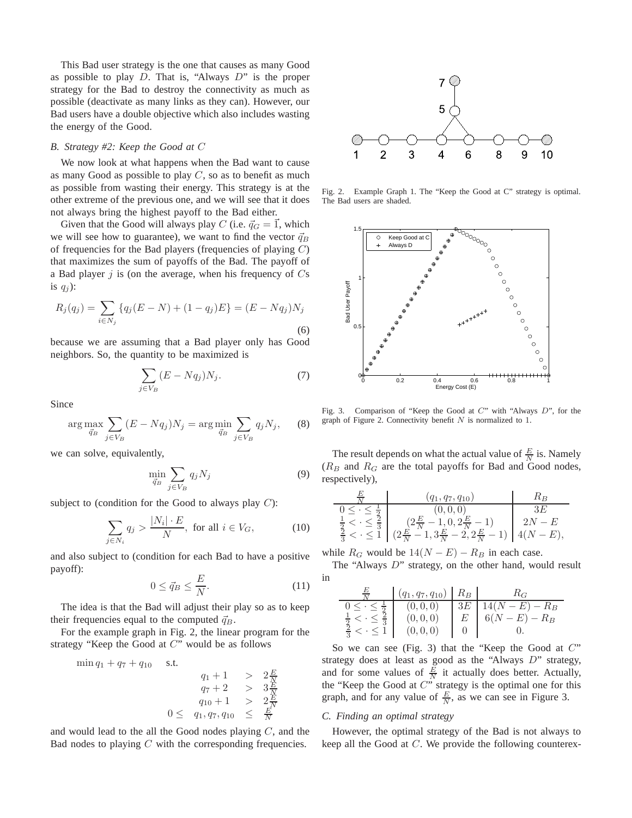This Bad user strategy is the one that causes as many Good as possible to play  $D$ . That is, "Always  $D$ " is the proper strategy for the Bad to destroy the connectivity as much as possible (deactivate as many links as they can). However, our Bad users have a double objective which also includes wasting the energy of the Good.

# *B. Strategy #2: Keep the Good at* C

We now look at what happens when the Bad want to cause as many Good as possible to play  $C$ , so as to benefit as much as possible from wasting their energy. This strategy is at the other extreme of the previous one, and we will see that it does not always bring the highest payoff to the Bad either.

Given that the Good will always play C (i.e.  $\vec{q}_G = \vec{1}$ , which we will see how to guarantee), we want to find the vector  $\vec{q}_B$ of frequencies for the Bad players (frequencies of playing  $C$ ) that maximizes the sum of payoffs of the Bad. The payoff of a Bad player  $j$  is (on the average, when his frequency of  $Cs$ is  $q_i$ :

$$
R_j(q_j) = \sum_{i \in N_j} \{q_j(E - N) + (1 - q_j)E\} = (E - Nq_j)N_j
$$
\n(6)

because we are assuming that a Bad player only has Good neighbors. So, the quantity to be maximized is

$$
\sum_{j \in V_B} (E - Nq_j) N_j. \tag{7}
$$

Since

$$
\arg\max_{\vec{q}_B} \sum_{j \in V_B} (E - Nq_j) N_j = \arg\min_{\vec{q}_B} \sum_{j \in V_B} q_j N_j,\tag{8}
$$

we can solve, equivalently,

$$
\min_{\vec{q}_B} \sum_{j \in V_B} q_j N_j \tag{9}
$$

subject to (condition for the Good to always play  $C$ ):

$$
\sum_{j \in N_i} q_j > \frac{|N_i| \cdot E}{N}, \text{ for all } i \in V_G,
$$
 (10)

and also subject to (condition for each Bad to have a positive payoff):

$$
0 \le \vec{q}_B \le \frac{E}{N}.\tag{11}
$$

The idea is that the Bad will adjust their play so as to keep their frequencies equal to the computed  $\vec{q}_B$ .

For the example graph in Fig. 2, the linear program for the strategy "Keep the Good at C" would be as follows

$$
\begin{array}{rcl}\n\min q_1 + q_7 + q_{10} & \text{s.t.} \\
q_1 + 1 > & 2\frac{E}{N} \\
q_7 + 2 > & 3\frac{E}{N} \\
q_{10} + 1 > & 2\frac{E}{N} \\
0 \leq & q_1, q_7, q_{10} \leq & \frac{E}{N}\n\end{array}
$$

and would lead to the all the Good nodes playing  $C$ , and the Bad nodes to playing  $C$  with the corresponding frequencies.



Fig. 2. Example Graph 1. The "Keep the Good at C" strategy is optimal. The Bad users are shaded.



Fig. 3. Comparison of "Keep the Good at C" with "Always D", for the graph of Figure 2. Connectivity benefit  $N$  is normalized to 1.

The result depends on what the actual value of  $\frac{E}{N}$  is. Namely  $(R_B$  and  $R_G$  are the total payoffs for Bad and Good nodes, respectively),

$$
\begin{array}{c|c|c}\n\hline\n\frac{E}{N} & (q_1, q_7, q_{10}) & R_B \\
\hline\n0 \leq \cdot \leq \frac{1}{2} & (0, 0, 0) & 3E \\
\frac{1}{2} < \cdot \leq \frac{2}{3} & (2\frac{E}{N} - 1, 0, 2\frac{E}{N} - 1) & 2N - E \\
\frac{2}{3} < \cdot \leq 1 & (2\frac{E}{N} - 1, 3\frac{E}{N} - 2, 2\frac{E}{N} - 1) & 4(N - E),\n\end{array}
$$

while  $R_G$  would be  $14(N - E) - R_B$  in each case.

The "Always D" strategy, on the other hand, would result in

$$
\begin{array}{c|c|c|c|c}\n\hline\n\frac{E}{N} & (q_1, q_7, q_{10}) & R_B & R_G \\
\hline\n0 \leq \cdot \leq \frac{1}{2} & (0, 0, 0) & 3E & 14(N - E) - R_B \\
\frac{1}{2} < \cdot \leq \frac{2}{3} & (0, 0, 0) & E & 6(N - E) - R_B \\
\frac{2}{3} < \cdot \leq 1 & (0, 0, 0) & 0 & 0.\n\end{array}
$$

So we can see (Fig. 3) that the "Keep the Good at  $C$ " strategy does at least as good as the "Always D" strategy, and for some values of  $\frac{E}{N}$  it actually does better. Actually, the "Keep the Good at  $C^{\prime}$ " strategy is the optimal one for this graph, and for any value of  $\frac{E}{N}$ , as we can see in Figure 3.

## *C. Finding an optimal strategy*

However, the optimal strategy of the Bad is not always to keep all the Good at C. We provide the following counterex